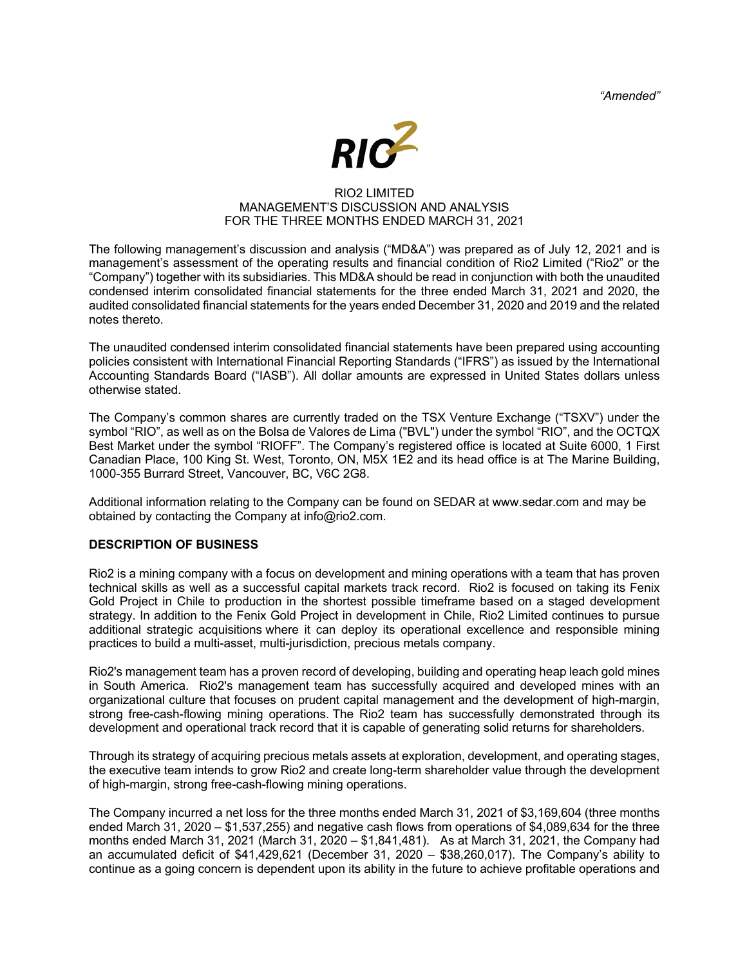*"Amended"*



## RIO2 LIMITED MANAGEMENT'S DISCUSSION AND ANALYSIS FOR THE THREE MONTHS ENDED MARCH 31, 2021

The following management's discussion and analysis ("MD&A") was prepared as of July 12, 2021 and is management's assessment of the operating results and financial condition of Rio2 Limited ("Rio2" or the "Company") together with its subsidiaries. This MD&A should be read in conjunction with both the unaudited condensed interim consolidated financial statements for the three ended March 31, 2021 and 2020, the audited consolidated financial statements for the years ended December 31, 2020 and 2019 and the related notes thereto.

The unaudited condensed interim consolidated financial statements have been prepared using accounting policies consistent with International Financial Reporting Standards ("IFRS") as issued by the International Accounting Standards Board ("IASB"). All dollar amounts are expressed in United States dollars unless otherwise stated.

The Company's common shares are currently traded on the TSX Venture Exchange ("TSXV") under the symbol "RIO", as well as on the Bolsa de Valores de Lima ("BVL") under the symbol "RIO", and the OCTQX Best Market under the symbol "RIOFF". The Company's registered office is located at Suite 6000, 1 First Canadian Place, 100 King St. West, Toronto, ON, M5X 1E2 and its head office is at The Marine Building, 1000-355 Burrard Street, Vancouver, BC, V6C 2G8.

Additional information relating to the Company can be found on SEDAR at www.sedar.com and may be obtained by contacting the Company at info@rio2.com.

## **DESCRIPTION OF BUSINESS**

Rio2 is a mining company with a focus on development and mining operations with a team that has proven technical skills as well as a successful capital markets track record. Rio2 is focused on taking its Fenix Gold Project in Chile to production in the shortest possible timeframe based on a staged development strategy. In addition to the Fenix Gold Project in development in Chile, Rio2 Limited continues to pursue additional strategic acquisitions where it can deploy its operational excellence and responsible mining practices to build a multi-asset, multi-jurisdiction, precious metals company.

Rio2's management team has a proven record of developing, building and operating heap leach gold mines in South America. Rio2's management team has successfully acquired and developed mines with an organizational culture that focuses on prudent capital management and the development of high-margin, strong free-cash-flowing mining operations. The Rio2 team has successfully demonstrated through its development and operational track record that it is capable of generating solid returns for shareholders.

Through its strategy of acquiring precious metals assets at exploration, development, and operating stages, the executive team intends to grow Rio2 and create long-term shareholder value through the development of high-margin, strong free-cash-flowing mining operations.

The Company incurred a net loss for the three months ended March 31, 2021 of \$3,169,604 (three months ended March 31, 2020 – \$1,537,255) and negative cash flows from operations of \$4,089,634 for the three months ended March 31, 2021 (March 31, 2020 – \$1,841,481). As at March 31, 2021, the Company had an accumulated deficit of \$41,429,621 (December 31, 2020 – \$38,260,017). The Company's ability to continue as a going concern is dependent upon its ability in the future to achieve profitable operations and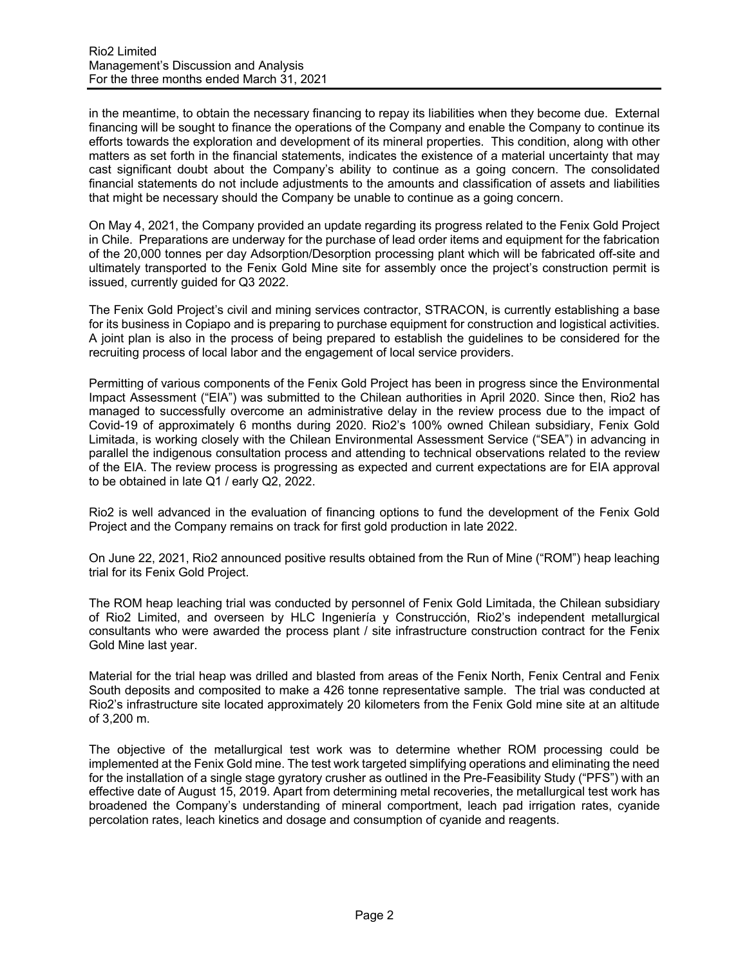in the meantime, to obtain the necessary financing to repay its liabilities when they become due. External financing will be sought to finance the operations of the Company and enable the Company to continue its efforts towards the exploration and development of its mineral properties. This condition, along with other matters as set forth in the financial statements, indicates the existence of a material uncertainty that may cast significant doubt about the Company's ability to continue as a going concern. The consolidated financial statements do not include adjustments to the amounts and classification of assets and liabilities that might be necessary should the Company be unable to continue as a going concern.

On May 4, 2021, the Company provided an update regarding its progress related to the Fenix Gold Project in Chile. Preparations are underway for the purchase of lead order items and equipment for the fabrication of the 20,000 tonnes per day Adsorption/Desorption processing plant which will be fabricated off-site and ultimately transported to the Fenix Gold Mine site for assembly once the project's construction permit is issued, currently guided for Q3 2022.

The Fenix Gold Project's civil and mining services contractor, STRACON, is currently establishing a base for its business in Copiapo and is preparing to purchase equipment for construction and logistical activities. A joint plan is also in the process of being prepared to establish the guidelines to be considered for the recruiting process of local labor and the engagement of local service providers.

Permitting of various components of the Fenix Gold Project has been in progress since the Environmental Impact Assessment ("EIA") was submitted to the Chilean authorities in April 2020. Since then, Rio2 has managed to successfully overcome an administrative delay in the review process due to the impact of Covid-19 of approximately 6 months during 2020. Rio2's 100% owned Chilean subsidiary, Fenix Gold Limitada, is working closely with the Chilean Environmental Assessment Service ("SEA") in advancing in parallel the indigenous consultation process and attending to technical observations related to the review of the EIA. The review process is progressing as expected and current expectations are for EIA approval to be obtained in late Q1 / early Q2, 2022.

Rio2 is well advanced in the evaluation of financing options to fund the development of the Fenix Gold Project and the Company remains on track for first gold production in late 2022.

On June 22, 2021, Rio2 announced positive results obtained from the Run of Mine ("ROM") heap leaching trial for its Fenix Gold Project.

The ROM heap leaching trial was conducted by personnel of Fenix Gold Limitada, the Chilean subsidiary of Rio2 Limited, and overseen by HLC Ingeniería y Construcción, Rio2's independent metallurgical consultants who were awarded the process plant / site infrastructure construction contract for the Fenix Gold Mine last year.

Material for the trial heap was drilled and blasted from areas of the Fenix North, Fenix Central and Fenix South deposits and composited to make a 426 tonne representative sample. The trial was conducted at Rio2's infrastructure site located approximately 20 kilometers from the Fenix Gold mine site at an altitude of 3,200 m.

The objective of the metallurgical test work was to determine whether ROM processing could be implemented at the Fenix Gold mine. The test work targeted simplifying operations and eliminating the need for the installation of a single stage gyratory crusher as outlined in the Pre-Feasibility Study ("PFS") with an effective date of August 15, 2019. Apart from determining metal recoveries, the metallurgical test work has broadened the Company's understanding of mineral comportment, leach pad irrigation rates, cyanide percolation rates, leach kinetics and dosage and consumption of cyanide and reagents.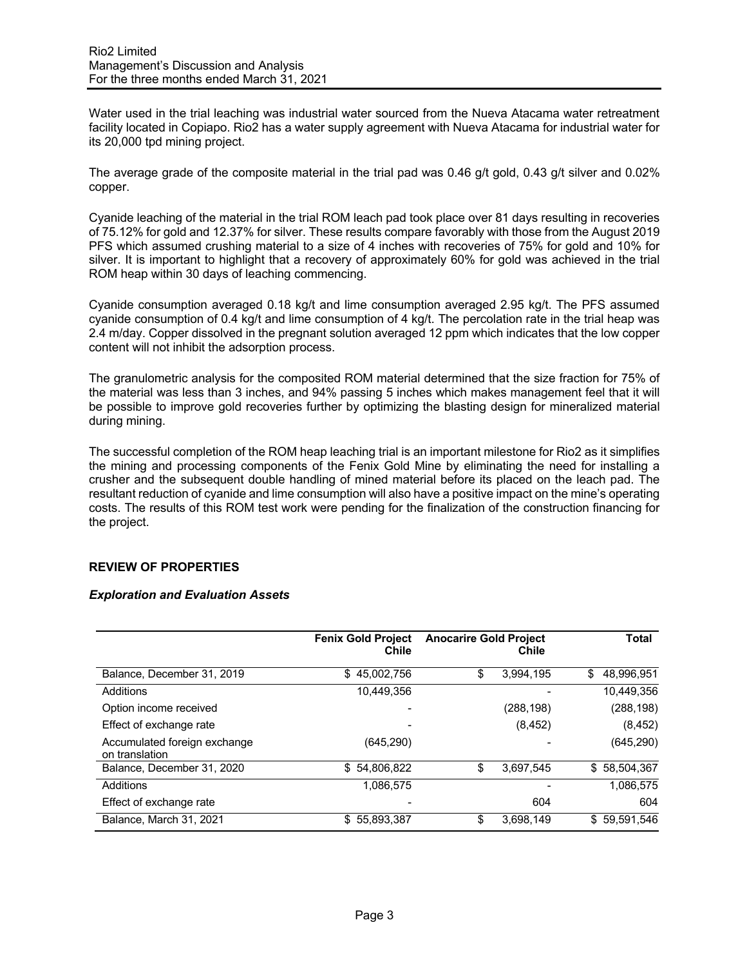Water used in the trial leaching was industrial water sourced from the Nueva Atacama water retreatment facility located in Copiapo. Rio2 has a water supply agreement with Nueva Atacama for industrial water for its 20,000 tpd mining project.

The average grade of the composite material in the trial pad was 0.46 g/t gold, 0.43 g/t silver and 0.02% copper.

Cyanide leaching of the material in the trial ROM leach pad took place over 81 days resulting in recoveries of 75.12% for gold and 12.37% for silver. These results compare favorably with those from the August 2019 PFS which assumed crushing material to a size of 4 inches with recoveries of 75% for gold and 10% for silver. It is important to highlight that a recovery of approximately 60% for gold was achieved in the trial ROM heap within 30 days of leaching commencing.

Cyanide consumption averaged 0.18 kg/t and lime consumption averaged 2.95 kg/t. The PFS assumed cyanide consumption of 0.4 kg/t and lime consumption of 4 kg/t. The percolation rate in the trial heap was 2.4 m/day. Copper dissolved in the pregnant solution averaged 12 ppm which indicates that the low copper content will not inhibit the adsorption process.

The granulometric analysis for the composited ROM material determined that the size fraction for 75% of the material was less than 3 inches, and 94% passing 5 inches which makes management feel that it will be possible to improve gold recoveries further by optimizing the blasting design for mineralized material during mining.

The successful completion of the ROM heap leaching trial is an important milestone for Rio2 as it simplifies the mining and processing components of the Fenix Gold Mine by eliminating the need for installing a crusher and the subsequent double handling of mined material before its placed on the leach pad. The resultant reduction of cyanide and lime consumption will also have a positive impact on the mine's operating costs. The results of this ROM test work were pending for the finalization of the construction financing for the project.

# **REVIEW OF PROPERTIES**

### *Exploration and Evaluation Assets*

|                                                | <b>Fenix Gold Project</b><br>Chile | <b>Anocarire Gold Project</b><br>Chile |            | Total            |  |
|------------------------------------------------|------------------------------------|----------------------------------------|------------|------------------|--|
| Balance, December 31, 2019                     | 45,002,756<br>\$                   | \$                                     | 3,994,195  | 48,996,951<br>\$ |  |
| Additions                                      | 10,449,356                         |                                        |            | 10,449,356       |  |
| Option income received                         |                                    |                                        | (288, 198) | (288, 198)       |  |
| Effect of exchange rate                        |                                    |                                        | (8, 452)   | (8, 452)         |  |
| Accumulated foreign exchange<br>on translation | (645, 290)                         |                                        |            | (645, 290)       |  |
| Balance, December 31, 2020                     | \$54,806,822                       | \$                                     | 3,697,545  | \$58,504,367     |  |
| Additions                                      | 1.086.575                          |                                        |            | 1.086.575        |  |
| Effect of exchange rate                        |                                    |                                        | 604        | 604              |  |
| Balance, March 31, 2021                        | \$55,893,387                       | S                                      | 3,698,149  | \$59,591,546     |  |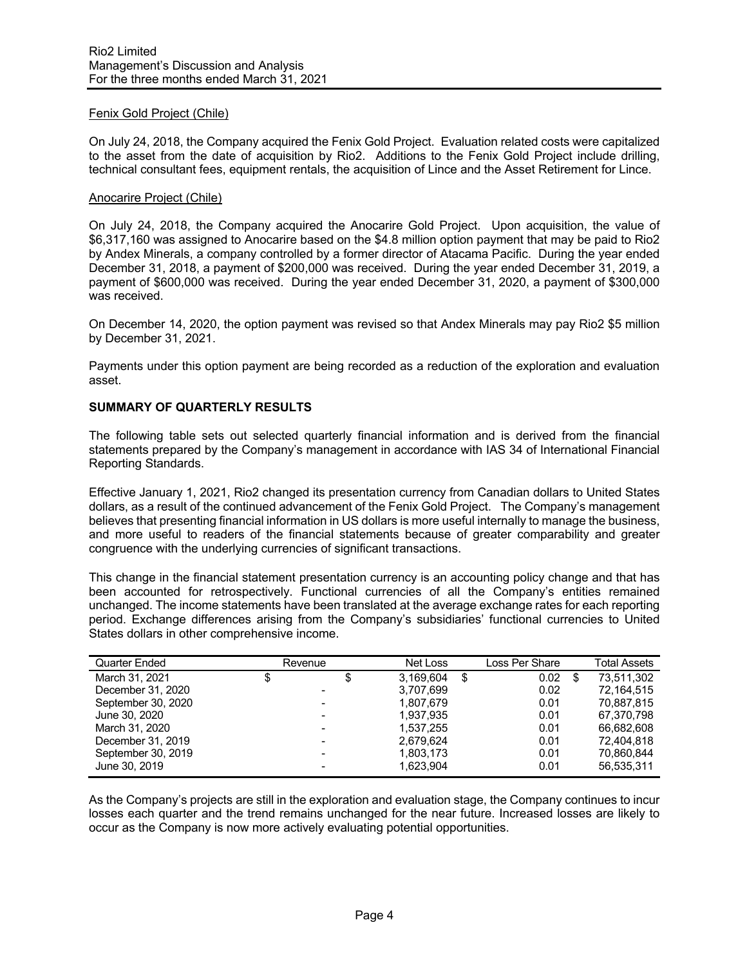# Fenix Gold Project (Chile)

On July 24, 2018, the Company acquired the Fenix Gold Project. Evaluation related costs were capitalized to the asset from the date of acquisition by Rio2. Additions to the Fenix Gold Project include drilling, technical consultant fees, equipment rentals, the acquisition of Lince and the Asset Retirement for Lince.

### Anocarire Project (Chile)

On July 24, 2018, the Company acquired the Anocarire Gold Project. Upon acquisition, the value of \$6,317,160 was assigned to Anocarire based on the \$4.8 million option payment that may be paid to Rio2 by Andex Minerals, a company controlled by a former director of Atacama Pacific. During the year ended December 31, 2018, a payment of \$200,000 was received. During the year ended December 31, 2019, a payment of \$600,000 was received. During the year ended December 31, 2020, a payment of \$300,000 was received.

On December 14, 2020, the option payment was revised so that Andex Minerals may pay Rio2 \$5 million by December 31, 2021.

Payments under this option payment are being recorded as a reduction of the exploration and evaluation asset.

### **SUMMARY OF QUARTERLY RESULTS**

The following table sets out selected quarterly financial information and is derived from the financial statements prepared by the Company's management in accordance with IAS 34 of International Financial Reporting Standards.

Effective January 1, 2021, Rio2 changed its presentation currency from Canadian dollars to United States dollars, as a result of the continued advancement of the Fenix Gold Project. The Company's management believes that presenting financial information in US dollars is more useful internally to manage the business, and more useful to readers of the financial statements because of greater comparability and greater congruence with the underlying currencies of significant transactions.

This change in the financial statement presentation currency is an accounting policy change and that has been accounted for retrospectively. Functional currencies of all the Company's entities remained unchanged. The income statements have been translated at the average exchange rates for each reporting period. Exchange differences arising from the Company's subsidiaries' functional currencies to United States dollars in other comprehensive income.

| Quarter Ended      | Revenue |                          | Net Loss  | Loss Per Share |   | <b>Total Assets</b> |
|--------------------|---------|--------------------------|-----------|----------------|---|---------------------|
| March 31, 2021     | \$      | \$                       | 3.169.604 | \$<br>0.02     | S | 73.511.302          |
| December 31, 2020  |         |                          | 3,707,699 | 0.02           |   | 72,164,515          |
| September 30, 2020 |         |                          | 1.807.679 | 0.01           |   | 70.887.815          |
| June 30, 2020      |         | $\blacksquare$           | 1,937,935 | 0.01           |   | 67.370.798          |
| March 31, 2020     |         | $\overline{\phantom{0}}$ | 1.537.255 | 0.01           |   | 66.682.608          |
| December 31, 2019  |         |                          | 2.679.624 | 0.01           |   | 72,404,818          |
| September 30, 2019 |         |                          | 1,803,173 | 0.01           |   | 70,860,844          |
| June 30, 2019      |         |                          | 1,623,904 | 0.01           |   | 56,535,311          |

As the Company's projects are still in the exploration and evaluation stage, the Company continues to incur losses each quarter and the trend remains unchanged for the near future. Increased losses are likely to occur as the Company is now more actively evaluating potential opportunities.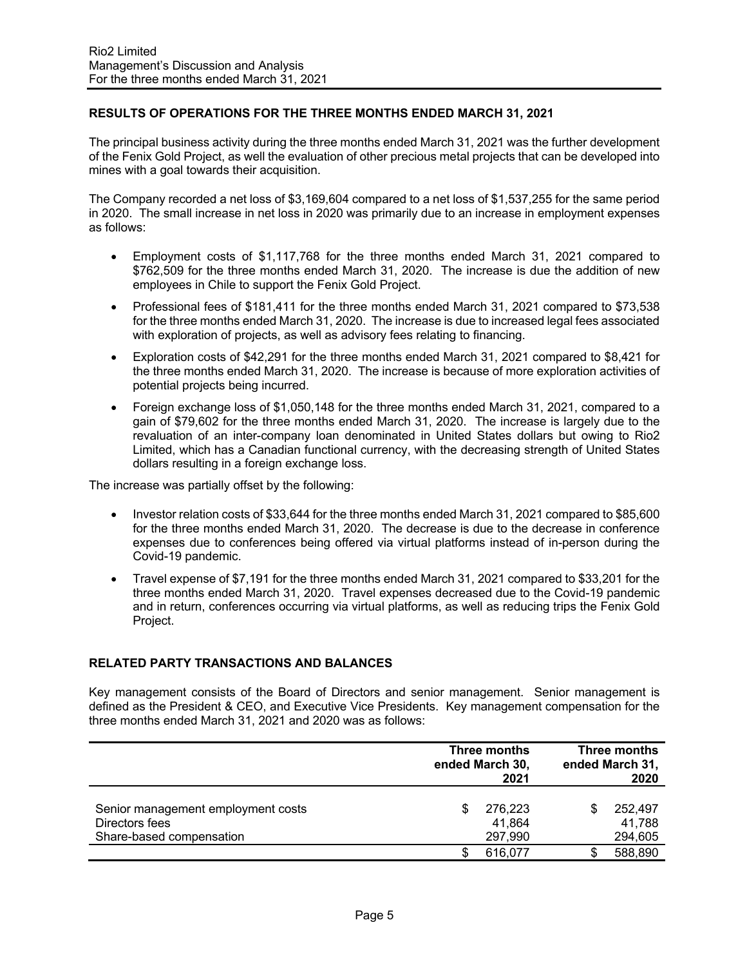# **RESULTS OF OPERATIONS FOR THE THREE MONTHS ENDED MARCH 31, 2021**

The principal business activity during the three months ended March 31, 2021 was the further development of the Fenix Gold Project, as well the evaluation of other precious metal projects that can be developed into mines with a goal towards their acquisition.

The Company recorded a net loss of \$3,169,604 compared to a net loss of \$1,537,255 for the same period in 2020. The small increase in net loss in 2020 was primarily due to an increase in employment expenses as follows:

- Employment costs of \$1,117,768 for the three months ended March 31, 2021 compared to \$762,509 for the three months ended March 31, 2020. The increase is due the addition of new employees in Chile to support the Fenix Gold Project.
- Professional fees of \$181,411 for the three months ended March 31, 2021 compared to \$73,538 for the three months ended March 31, 2020. The increase is due to increased legal fees associated with exploration of projects, as well as advisory fees relating to financing.
- Exploration costs of \$42,291 for the three months ended March 31, 2021 compared to \$8,421 for the three months ended March 31, 2020. The increase is because of more exploration activities of potential projects being incurred.
- Foreign exchange loss of \$1,050,148 for the three months ended March 31, 2021, compared to a gain of \$79,602 for the three months ended March 31, 2020. The increase is largely due to the revaluation of an inter-company loan denominated in United States dollars but owing to Rio2 Limited, which has a Canadian functional currency, with the decreasing strength of United States dollars resulting in a foreign exchange loss.

The increase was partially offset by the following:

- Investor relation costs of \$33,644 for the three months ended March 31, 2021 compared to \$85,600 for the three months ended March 31, 2020. The decrease is due to the decrease in conference expenses due to conferences being offered via virtual platforms instead of in-person during the Covid-19 pandemic.
- Travel expense of \$7,191 for the three months ended March 31, 2021 compared to \$33,201 for the three months ended March 31, 2020. Travel expenses decreased due to the Covid-19 pandemic and in return, conferences occurring via virtual platforms, as well as reducing trips the Fenix Gold Project.

# **RELATED PARTY TRANSACTIONS AND BALANCES**

Key management consists of the Board of Directors and senior management. Senior management is defined as the President & CEO, and Executive Vice Presidents. Key management compensation for the three months ended March 31, 2021 and 2020 was as follows:

|                                                                                  |   | Three months<br>ended March 30,<br>2021 |  | Three months<br>ended March 31,<br>2020 |  |  |
|----------------------------------------------------------------------------------|---|-----------------------------------------|--|-----------------------------------------|--|--|
| Senior management employment costs<br>Directors fees<br>Share-based compensation | S | 276,223<br>41,864<br>297,990            |  | 252,497<br>41,788<br>294,605            |  |  |
|                                                                                  |   | 616,077                                 |  | 588,890                                 |  |  |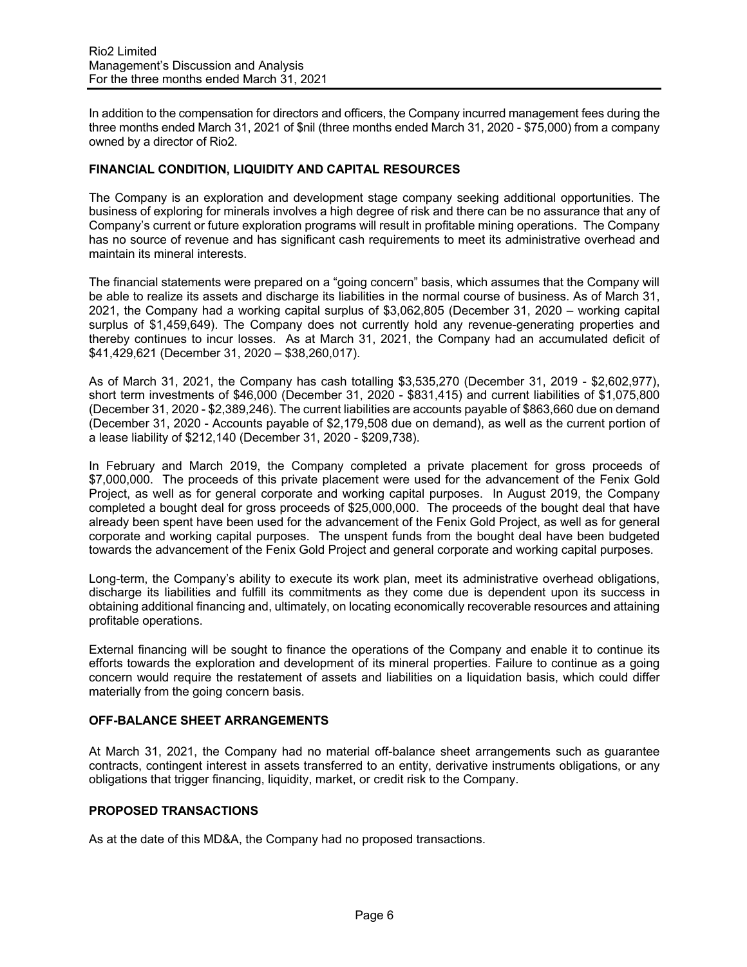In addition to the compensation for directors and officers, the Company incurred management fees during the three months ended March 31, 2021 of \$nil (three months ended March 31, 2020 - \$75,000) from a company owned by a director of Rio2.

## **FINANCIAL CONDITION, LIQUIDITY AND CAPITAL RESOURCES**

The Company is an exploration and development stage company seeking additional opportunities. The business of exploring for minerals involves a high degree of risk and there can be no assurance that any of Company's current or future exploration programs will result in profitable mining operations. The Company has no source of revenue and has significant cash requirements to meet its administrative overhead and maintain its mineral interests.

The financial statements were prepared on a "going concern" basis, which assumes that the Company will be able to realize its assets and discharge its liabilities in the normal course of business. As of March 31, 2021, the Company had a working capital surplus of \$3,062,805 (December 31, 2020 – working capital surplus of \$1,459,649). The Company does not currently hold any revenue-generating properties and thereby continues to incur losses. As at March 31, 2021, the Company had an accumulated deficit of \$41,429,621 (December 31, 2020 – \$38,260,017).

As of March 31, 2021, the Company has cash totalling \$3,535,270 (December 31, 2019 - \$2,602,977), short term investments of \$46,000 (December 31, 2020 - \$831,415) and current liabilities of \$1,075,800 (December 31, 2020 - \$2,389,246). The current liabilities are accounts payable of \$863,660 due on demand (December 31, 2020 - Accounts payable of \$2,179,508 due on demand), as well as the current portion of a lease liability of \$212,140 (December 31, 2020 - \$209,738).

In February and March 2019, the Company completed a private placement for gross proceeds of \$7,000,000. The proceeds of this private placement were used for the advancement of the Fenix Gold Project, as well as for general corporate and working capital purposes. In August 2019, the Company completed a bought deal for gross proceeds of \$25,000,000. The proceeds of the bought deal that have already been spent have been used for the advancement of the Fenix Gold Project, as well as for general corporate and working capital purposes. The unspent funds from the bought deal have been budgeted towards the advancement of the Fenix Gold Project and general corporate and working capital purposes.

Long-term, the Company's ability to execute its work plan, meet its administrative overhead obligations, discharge its liabilities and fulfill its commitments as they come due is dependent upon its success in obtaining additional financing and, ultimately, on locating economically recoverable resources and attaining profitable operations.

External financing will be sought to finance the operations of the Company and enable it to continue its efforts towards the exploration and development of its mineral properties. Failure to continue as a going concern would require the restatement of assets and liabilities on a liquidation basis, which could differ materially from the going concern basis.

# **OFF-BALANCE SHEET ARRANGEMENTS**

At March 31, 2021, the Company had no material off-balance sheet arrangements such as guarantee contracts, contingent interest in assets transferred to an entity, derivative instruments obligations, or any obligations that trigger financing, liquidity, market, or credit risk to the Company.

### **PROPOSED TRANSACTIONS**

As at the date of this MD&A, the Company had no proposed transactions.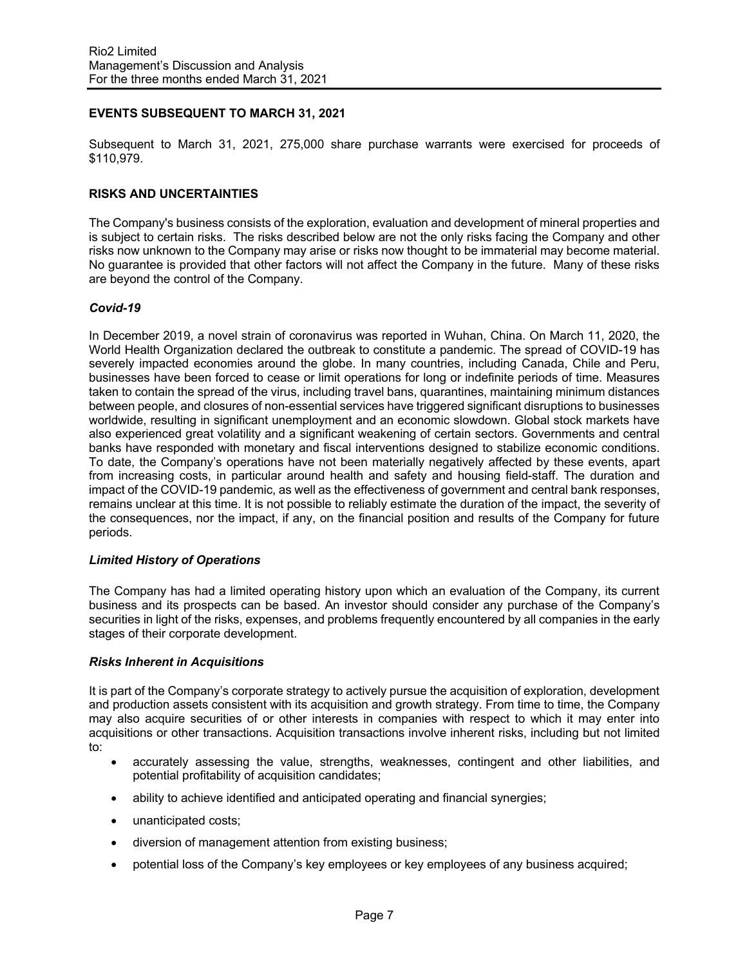# **EVENTS SUBSEQUENT TO MARCH 31, 2021**

Subsequent to March 31, 2021, 275,000 share purchase warrants were exercised for proceeds of \$110,979.

# **RISKS AND UNCERTAINTIES**

The Company's business consists of the exploration, evaluation and development of mineral properties and is subject to certain risks. The risks described below are not the only risks facing the Company and other risks now unknown to the Company may arise or risks now thought to be immaterial may become material. No guarantee is provided that other factors will not affect the Company in the future. Many of these risks are beyond the control of the Company.

## *Covid-19*

In December 2019, a novel strain of coronavirus was reported in Wuhan, China. On March 11, 2020, the World Health Organization declared the outbreak to constitute a pandemic. The spread of COVID-19 has severely impacted economies around the globe. In many countries, including Canada, Chile and Peru, businesses have been forced to cease or limit operations for long or indefinite periods of time. Measures taken to contain the spread of the virus, including travel bans, quarantines, maintaining minimum distances between people, and closures of non-essential services have triggered significant disruptions to businesses worldwide, resulting in significant unemployment and an economic slowdown. Global stock markets have also experienced great volatility and a significant weakening of certain sectors. Governments and central banks have responded with monetary and fiscal interventions designed to stabilize economic conditions. To date, the Company's operations have not been materially negatively affected by these events, apart from increasing costs, in particular around health and safety and housing field-staff. The duration and impact of the COVID-19 pandemic, as well as the effectiveness of government and central bank responses, remains unclear at this time. It is not possible to reliably estimate the duration of the impact, the severity of the consequences, nor the impact, if any, on the financial position and results of the Company for future periods.

### *Limited History of Operations*

The Company has had a limited operating history upon which an evaluation of the Company, its current business and its prospects can be based. An investor should consider any purchase of the Company's securities in light of the risks, expenses, and problems frequently encountered by all companies in the early stages of their corporate development.

### *Risks Inherent in Acquisitions*

It is part of the Company's corporate strategy to actively pursue the acquisition of exploration, development and production assets consistent with its acquisition and growth strategy. From time to time, the Company may also acquire securities of or other interests in companies with respect to which it may enter into acquisitions or other transactions. Acquisition transactions involve inherent risks, including but not limited to:

- accurately assessing the value, strengths, weaknesses, contingent and other liabilities, and potential profitability of acquisition candidates;
- ability to achieve identified and anticipated operating and financial synergies;
- unanticipated costs;
- diversion of management attention from existing business;
- potential loss of the Company's key employees or key employees of any business acquired;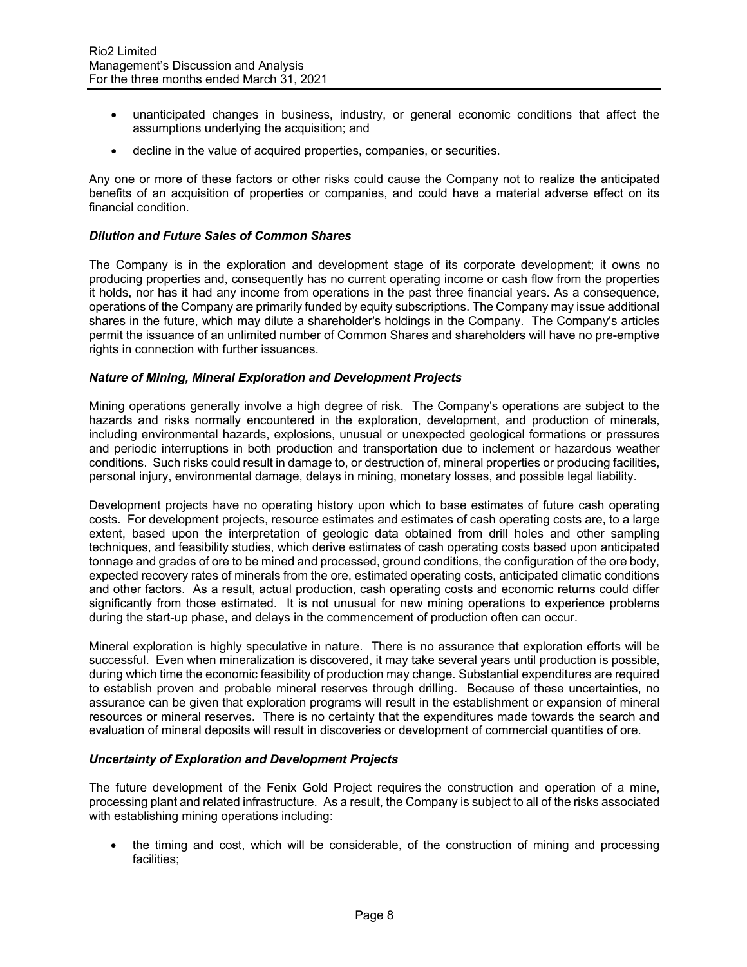- unanticipated changes in business, industry, or general economic conditions that affect the assumptions underlying the acquisition; and
- decline in the value of acquired properties, companies, or securities.

Any one or more of these factors or other risks could cause the Company not to realize the anticipated benefits of an acquisition of properties or companies, and could have a material adverse effect on its financial condition.

## *Dilution and Future Sales of Common Shares*

The Company is in the exploration and development stage of its corporate development; it owns no producing properties and, consequently has no current operating income or cash flow from the properties it holds, nor has it had any income from operations in the past three financial years. As a consequence, operations of the Company are primarily funded by equity subscriptions. The Company may issue additional shares in the future, which may dilute a shareholder's holdings in the Company. The Company's articles permit the issuance of an unlimited number of Common Shares and shareholders will have no pre-emptive rights in connection with further issuances.

### *Nature of Mining, Mineral Exploration and Development Projects*

Mining operations generally involve a high degree of risk. The Company's operations are subject to the hazards and risks normally encountered in the exploration, development, and production of minerals, including environmental hazards, explosions, unusual or unexpected geological formations or pressures and periodic interruptions in both production and transportation due to inclement or hazardous weather conditions. Such risks could result in damage to, or destruction of, mineral properties or producing facilities, personal injury, environmental damage, delays in mining, monetary losses, and possible legal liability.

Development projects have no operating history upon which to base estimates of future cash operating costs. For development projects, resource estimates and estimates of cash operating costs are, to a large extent, based upon the interpretation of geologic data obtained from drill holes and other sampling techniques, and feasibility studies, which derive estimates of cash operating costs based upon anticipated tonnage and grades of ore to be mined and processed, ground conditions, the configuration of the ore body, expected recovery rates of minerals from the ore, estimated operating costs, anticipated climatic conditions and other factors. As a result, actual production, cash operating costs and economic returns could differ significantly from those estimated. It is not unusual for new mining operations to experience problems during the start-up phase, and delays in the commencement of production often can occur.

Mineral exploration is highly speculative in nature. There is no assurance that exploration efforts will be successful. Even when mineralization is discovered, it may take several years until production is possible, during which time the economic feasibility of production may change. Substantial expenditures are required to establish proven and probable mineral reserves through drilling. Because of these uncertainties, no assurance can be given that exploration programs will result in the establishment or expansion of mineral resources or mineral reserves. There is no certainty that the expenditures made towards the search and evaluation of mineral deposits will result in discoveries or development of commercial quantities of ore.

### *Uncertainty of Exploration and Development Projects*

The future development of the Fenix Gold Project requires the construction and operation of a mine, processing plant and related infrastructure. As a result, the Company is subject to all of the risks associated with establishing mining operations including:

• the timing and cost, which will be considerable, of the construction of mining and processing facilities;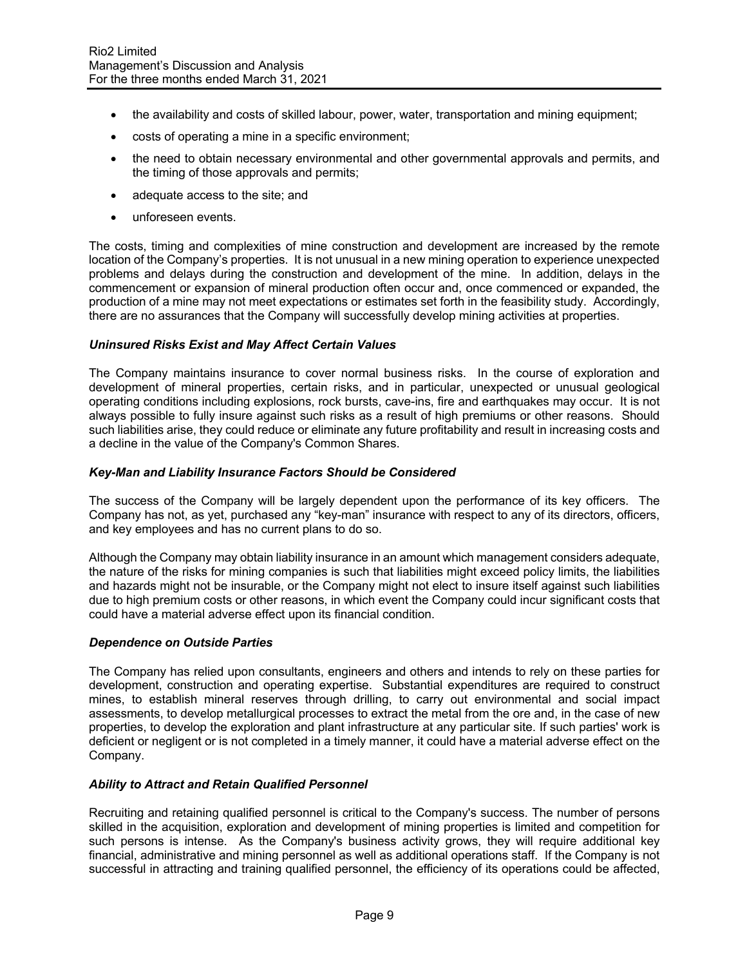- the availability and costs of skilled labour, power, water, transportation and mining equipment;
- costs of operating a mine in a specific environment;
- the need to obtain necessary environmental and other governmental approvals and permits, and the timing of those approvals and permits;
- adequate access to the site; and
- unforeseen events.

The costs, timing and complexities of mine construction and development are increased by the remote location of the Company's properties. It is not unusual in a new mining operation to experience unexpected problems and delays during the construction and development of the mine. In addition, delays in the commencement or expansion of mineral production often occur and, once commenced or expanded, the production of a mine may not meet expectations or estimates set forth in the feasibility study. Accordingly, there are no assurances that the Company will successfully develop mining activities at properties.

# *Uninsured Risks Exist and May Affect Certain Values*

The Company maintains insurance to cover normal business risks. In the course of exploration and development of mineral properties, certain risks, and in particular, unexpected or unusual geological operating conditions including explosions, rock bursts, cave-ins, fire and earthquakes may occur. It is not always possible to fully insure against such risks as a result of high premiums or other reasons. Should such liabilities arise, they could reduce or eliminate any future profitability and result in increasing costs and a decline in the value of the Company's Common Shares.

### *Key-Man and Liability Insurance Factors Should be Considered*

The success of the Company will be largely dependent upon the performance of its key officers. The Company has not, as yet, purchased any "key-man" insurance with respect to any of its directors, officers, and key employees and has no current plans to do so.

Although the Company may obtain liability insurance in an amount which management considers adequate, the nature of the risks for mining companies is such that liabilities might exceed policy limits, the liabilities and hazards might not be insurable, or the Company might not elect to insure itself against such liabilities due to high premium costs or other reasons, in which event the Company could incur significant costs that could have a material adverse effect upon its financial condition.

### *Dependence on Outside Parties*

The Company has relied upon consultants, engineers and others and intends to rely on these parties for development, construction and operating expertise. Substantial expenditures are required to construct mines, to establish mineral reserves through drilling, to carry out environmental and social impact assessments, to develop metallurgical processes to extract the metal from the ore and, in the case of new properties, to develop the exploration and plant infrastructure at any particular site. If such parties' work is deficient or negligent or is not completed in a timely manner, it could have a material adverse effect on the Company.

## *Ability to Attract and Retain Qualified Personnel*

Recruiting and retaining qualified personnel is critical to the Company's success. The number of persons skilled in the acquisition, exploration and development of mining properties is limited and competition for such persons is intense. As the Company's business activity grows, they will require additional key financial, administrative and mining personnel as well as additional operations staff. If the Company is not successful in attracting and training qualified personnel, the efficiency of its operations could be affected,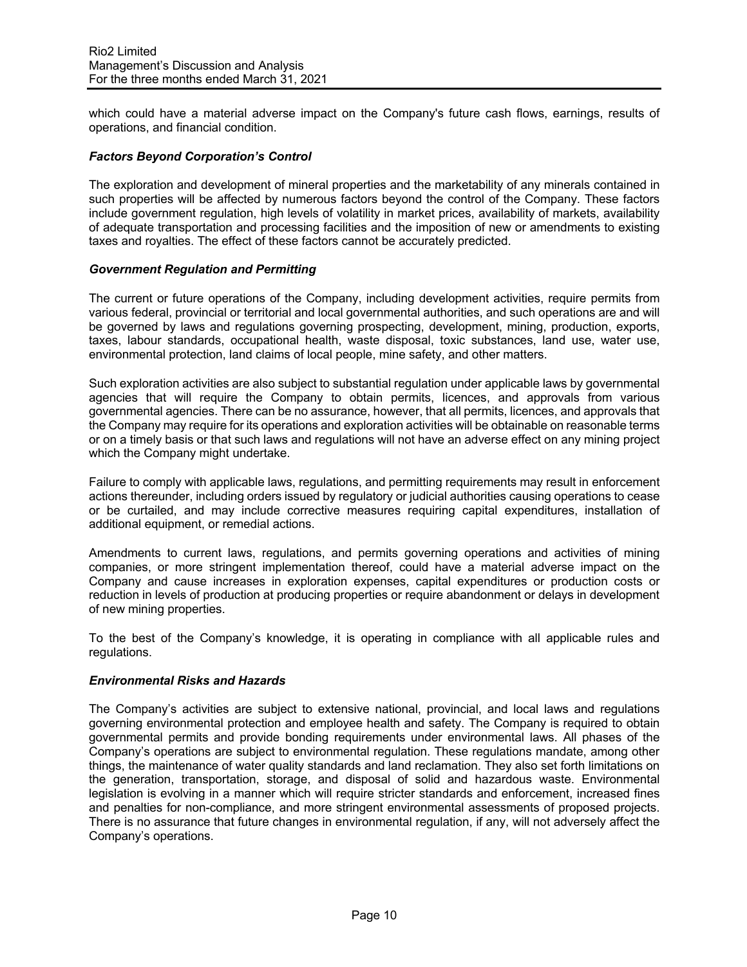which could have a material adverse impact on the Company's future cash flows, earnings, results of operations, and financial condition.

## *Factors Beyond Corporation's Control*

The exploration and development of mineral properties and the marketability of any minerals contained in such properties will be affected by numerous factors beyond the control of the Company. These factors include government regulation, high levels of volatility in market prices, availability of markets, availability of adequate transportation and processing facilities and the imposition of new or amendments to existing taxes and royalties. The effect of these factors cannot be accurately predicted.

# *Government Regulation and Permitting*

The current or future operations of the Company, including development activities, require permits from various federal, provincial or territorial and local governmental authorities, and such operations are and will be governed by laws and regulations governing prospecting, development, mining, production, exports, taxes, labour standards, occupational health, waste disposal, toxic substances, land use, water use, environmental protection, land claims of local people, mine safety, and other matters.

Such exploration activities are also subject to substantial regulation under applicable laws by governmental agencies that will require the Company to obtain permits, licences, and approvals from various governmental agencies. There can be no assurance, however, that all permits, licences, and approvals that the Company may require for its operations and exploration activities will be obtainable on reasonable terms or on a timely basis or that such laws and regulations will not have an adverse effect on any mining project which the Company might undertake.

Failure to comply with applicable laws, regulations, and permitting requirements may result in enforcement actions thereunder, including orders issued by regulatory or judicial authorities causing operations to cease or be curtailed, and may include corrective measures requiring capital expenditures, installation of additional equipment, or remedial actions.

Amendments to current laws, regulations, and permits governing operations and activities of mining companies, or more stringent implementation thereof, could have a material adverse impact on the Company and cause increases in exploration expenses, capital expenditures or production costs or reduction in levels of production at producing properties or require abandonment or delays in development of new mining properties.

To the best of the Company's knowledge, it is operating in compliance with all applicable rules and regulations.

### *Environmental Risks and Hazards*

The Company's activities are subject to extensive national, provincial, and local laws and regulations governing environmental protection and employee health and safety. The Company is required to obtain governmental permits and provide bonding requirements under environmental laws. All phases of the Company's operations are subject to environmental regulation. These regulations mandate, among other things, the maintenance of water quality standards and land reclamation. They also set forth limitations on the generation, transportation, storage, and disposal of solid and hazardous waste. Environmental legislation is evolving in a manner which will require stricter standards and enforcement, increased fines and penalties for non-compliance, and more stringent environmental assessments of proposed projects. There is no assurance that future changes in environmental regulation, if any, will not adversely affect the Company's operations.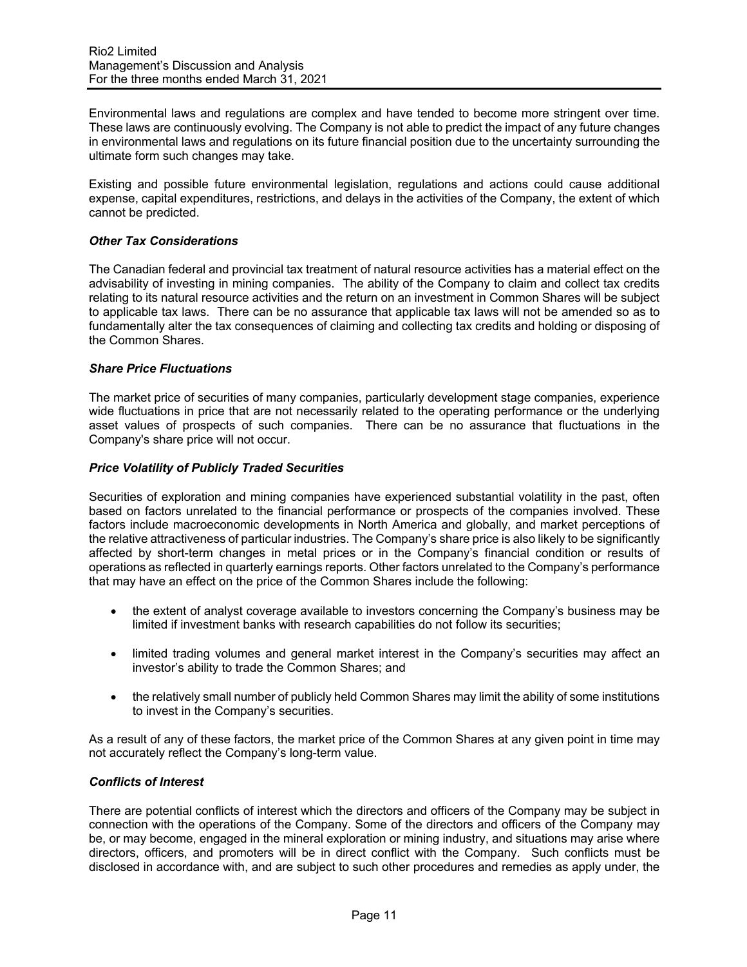Environmental laws and regulations are complex and have tended to become more stringent over time. These laws are continuously evolving. The Company is not able to predict the impact of any future changes in environmental laws and regulations on its future financial position due to the uncertainty surrounding the ultimate form such changes may take.

Existing and possible future environmental legislation, regulations and actions could cause additional expense, capital expenditures, restrictions, and delays in the activities of the Company, the extent of which cannot be predicted.

# *Other Tax Considerations*

The Canadian federal and provincial tax treatment of natural resource activities has a material effect on the advisability of investing in mining companies. The ability of the Company to claim and collect tax credits relating to its natural resource activities and the return on an investment in Common Shares will be subject to applicable tax laws. There can be no assurance that applicable tax laws will not be amended so as to fundamentally alter the tax consequences of claiming and collecting tax credits and holding or disposing of the Common Shares.

### *Share Price Fluctuations*

The market price of securities of many companies, particularly development stage companies, experience wide fluctuations in price that are not necessarily related to the operating performance or the underlying asset values of prospects of such companies. There can be no assurance that fluctuations in the Company's share price will not occur.

# *Price Volatility of Publicly Traded Securities*

Securities of exploration and mining companies have experienced substantial volatility in the past, often based on factors unrelated to the financial performance or prospects of the companies involved. These factors include macroeconomic developments in North America and globally, and market perceptions of the relative attractiveness of particular industries. The Company's share price is also likely to be significantly affected by short-term changes in metal prices or in the Company's financial condition or results of operations as reflected in quarterly earnings reports. Other factors unrelated to the Company's performance that may have an effect on the price of the Common Shares include the following:

- the extent of analyst coverage available to investors concerning the Company's business may be limited if investment banks with research capabilities do not follow its securities;
- limited trading volumes and general market interest in the Company's securities may affect an investor's ability to trade the Common Shares; and
- the relatively small number of publicly held Common Shares may limit the ability of some institutions to invest in the Company's securities.

As a result of any of these factors, the market price of the Common Shares at any given point in time may not accurately reflect the Company's long-term value.

# *Conflicts of Interest*

There are potential conflicts of interest which the directors and officers of the Company may be subject in connection with the operations of the Company. Some of the directors and officers of the Company may be, or may become, engaged in the mineral exploration or mining industry, and situations may arise where directors, officers, and promoters will be in direct conflict with the Company. Such conflicts must be disclosed in accordance with, and are subject to such other procedures and remedies as apply under, the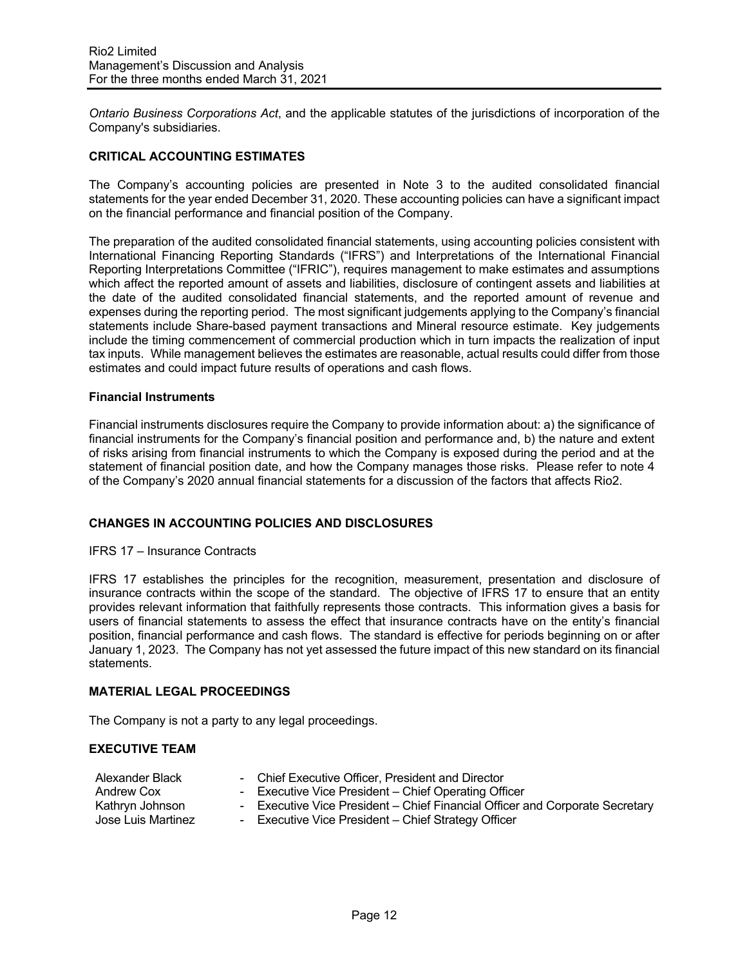*Ontario Business Corporations Act*, and the applicable statutes of the jurisdictions of incorporation of the Company's subsidiaries.

## **CRITICAL ACCOUNTING ESTIMATES**

The Company's accounting policies are presented in Note 3 to the audited consolidated financial statements for the year ended December 31, 2020. These accounting policies can have a significant impact on the financial performance and financial position of the Company.

The preparation of the audited consolidated financial statements, using accounting policies consistent with International Financing Reporting Standards ("IFRS") and Interpretations of the International Financial Reporting Interpretations Committee ("IFRIC"), requires management to make estimates and assumptions which affect the reported amount of assets and liabilities, disclosure of contingent assets and liabilities at the date of the audited consolidated financial statements, and the reported amount of revenue and expenses during the reporting period. The most significant judgements applying to the Company's financial statements include Share-based payment transactions and Mineral resource estimate. Key judgements include the timing commencement of commercial production which in turn impacts the realization of input tax inputs. While management believes the estimates are reasonable, actual results could differ from those estimates and could impact future results of operations and cash flows.

### **Financial Instruments**

Financial instruments disclosures require the Company to provide information about: a) the significance of financial instruments for the Company's financial position and performance and, b) the nature and extent of risks arising from financial instruments to which the Company is exposed during the period and at the statement of financial position date, and how the Company manages those risks. Please refer to note 4 of the Company's 2020 annual financial statements for a discussion of the factors that affects Rio2.

# **CHANGES IN ACCOUNTING POLICIES AND DISCLOSURES**

IFRS 17 – Insurance Contracts

IFRS 17 establishes the principles for the recognition, measurement, presentation and disclosure of insurance contracts within the scope of the standard. The objective of IFRS 17 to ensure that an entity provides relevant information that faithfully represents those contracts. This information gives a basis for users of financial statements to assess the effect that insurance contracts have on the entity's financial position, financial performance and cash flows. The standard is effective for periods beginning on or after January 1, 2023. The Company has not yet assessed the future impact of this new standard on its financial statements.

# **MATERIAL LEGAL PROCEEDINGS**

The Company is not a party to any legal proceedings.

### **EXECUTIVE TEAM**

- Alexander Black Chief Executive Officer, President and Director
- Andrew Cox Executive Vice President Chief Operating Officer
- 
- Kathryn Johnson Executive Vice President Chief Financial Officer and Corporate Secretary Jose Luis Martinez - Executive Vice President - Chief Strategy Officer
	-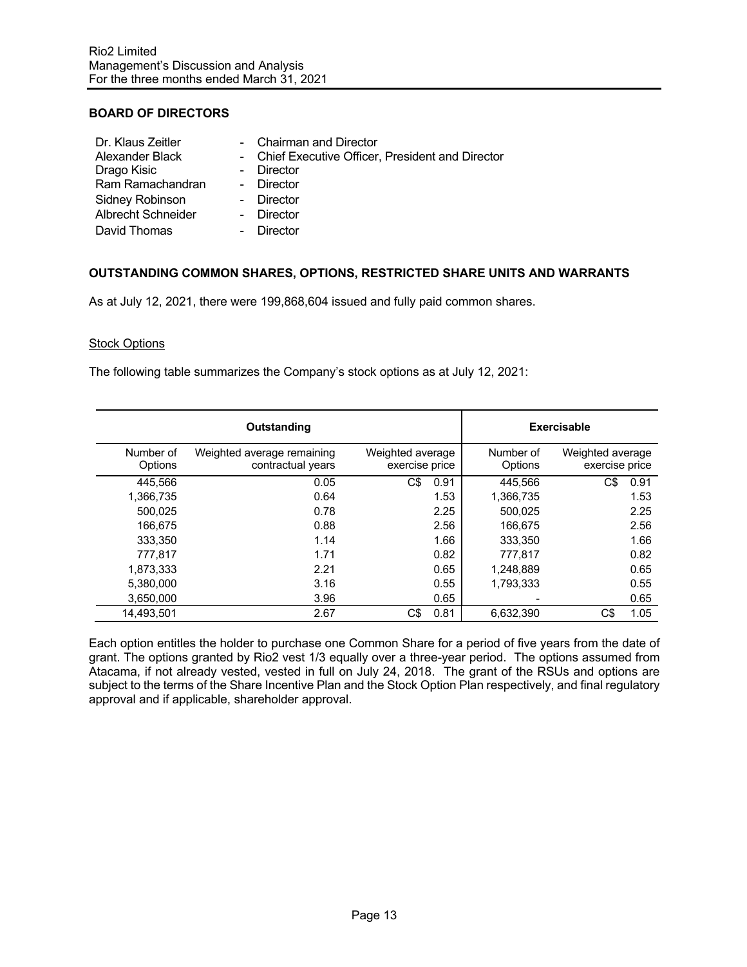# **BOARD OF DIRECTORS**

| Dr. Klaus Zeitler         | - Chairman and Director                           |
|---------------------------|---------------------------------------------------|
| Alexander Black           | - Chief Executive Officer, President and Director |
| Drago Kisic               | - Director                                        |
| Ram Ramachandran          | - Director                                        |
| Sidney Robinson           | - Director                                        |
| <b>Albrecht Schneider</b> | - Director                                        |
| David Thomas              | Director                                          |

# **OUTSTANDING COMMON SHARES, OPTIONS, RESTRICTED SHARE UNITS AND WARRANTS**

As at July 12, 2021, there were 199,868,604 issued and fully paid common shares.

### Stock Options

The following table summarizes the Company's stock options as at July 12, 2021:

|                      | Outstanding                                     |                                    |                      | <b>Exercisable</b>                 |  |  |  |
|----------------------|-------------------------------------------------|------------------------------------|----------------------|------------------------------------|--|--|--|
| Number of<br>Options | Weighted average remaining<br>contractual years | Weighted average<br>exercise price | Number of<br>Options | Weighted average<br>exercise price |  |  |  |
| 445.566              | 0.05                                            | C\$<br>0.91                        | 445.566              | C\$<br>0.91                        |  |  |  |
| 1,366,735            | 0.64                                            | 1.53                               | 1,366,735            | 1.53                               |  |  |  |
| 500,025              | 0.78                                            | 2.25                               | 500,025              | 2.25                               |  |  |  |
| 166,675              | 0.88                                            | 2.56                               | 166,675              | 2.56                               |  |  |  |
| 333,350              | 1.14                                            | 1.66                               | 333.350              | 1.66                               |  |  |  |
| 777,817              | 1.71                                            | 0.82                               | 777.817              | 0.82                               |  |  |  |
| 1,873,333            | 2.21                                            | 0.65                               | 1,248,889            | 0.65                               |  |  |  |
| 5,380,000            | 3.16                                            | 0.55                               | 1,793,333            | 0.55                               |  |  |  |
| 3,650,000            | 3.96                                            | 0.65                               |                      | 0.65                               |  |  |  |
| 14.493.501           | 2.67                                            | C\$<br>0.81                        | 6.632.390            | C\$<br>1.05                        |  |  |  |

Each option entitles the holder to purchase one Common Share for a period of five years from the date of grant. The options granted by Rio2 vest 1/3 equally over a three-year period. The options assumed from Atacama, if not already vested, vested in full on July 24, 2018. The grant of the RSUs and options are subject to the terms of the Share Incentive Plan and the Stock Option Plan respectively, and final regulatory approval and if applicable, shareholder approval.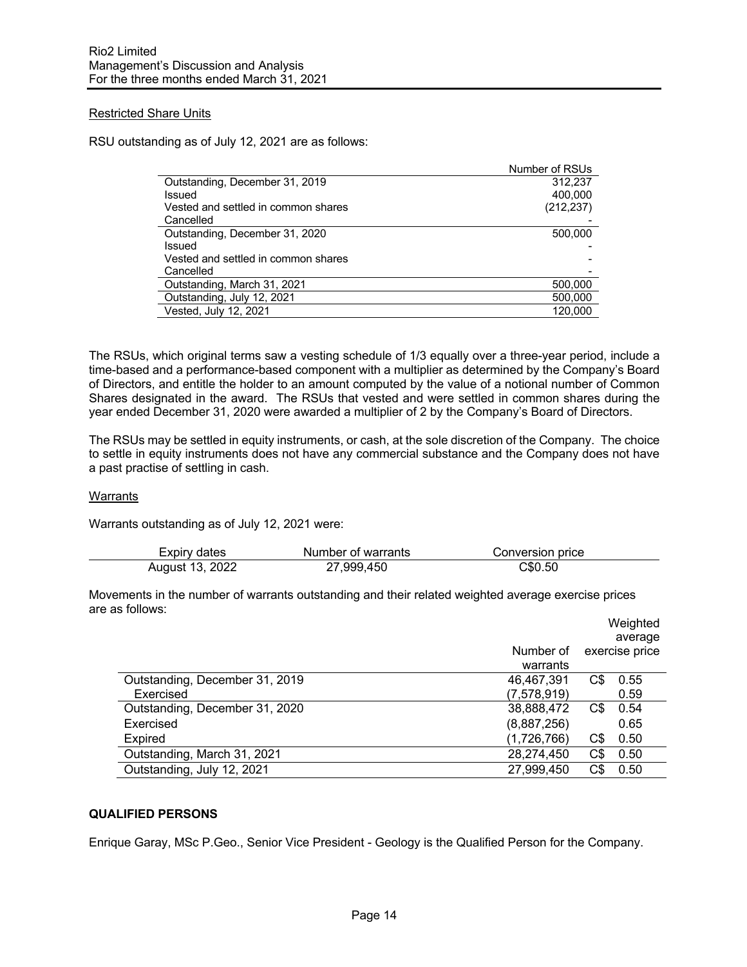## Restricted Share Units

RSU outstanding as of July 12, 2021 are as follows:

|                                     | Number of RSUs |
|-------------------------------------|----------------|
| Outstanding, December 31, 2019      | 312.237        |
| Issued                              | 400.000        |
| Vested and settled in common shares | (212, 237)     |
| Cancelled                           |                |
| Outstanding, December 31, 2020      | 500,000        |
| Issued                              |                |
| Vested and settled in common shares |                |
| Cancelled                           |                |
| Outstanding, March 31, 2021         | 500,000        |
| Outstanding, July 12, 2021          | 500,000        |
| Vested, July 12, 2021               | 120.000        |

The RSUs, which original terms saw a vesting schedule of 1/3 equally over a three-year period, include a time-based and a performance-based component with a multiplier as determined by the Company's Board of Directors, and entitle the holder to an amount computed by the value of a notional number of Common Shares designated in the award. The RSUs that vested and were settled in common shares during the year ended December 31, 2020 were awarded a multiplier of 2 by the Company's Board of Directors.

The RSUs may be settled in equity instruments, or cash, at the sole discretion of the Company. The choice to settle in equity instruments does not have any commercial substance and the Company does not have a past practise of settling in cash.

### Warrants

Warrants outstanding as of July 12, 2021 were:

| Expiry dates    | Number of warrants | Conversion price |
|-----------------|--------------------|------------------|
| August 13, 2022 | 27,999,450         | C\$0.50          |

Movements in the number of warrants outstanding and their related weighted average exercise prices are as follows:

|                                |             |     | Weighted                  |
|--------------------------------|-------------|-----|---------------------------|
|                                | Number of   |     | average<br>exercise price |
|                                | warrants    |     |                           |
| Outstanding, December 31, 2019 | 46,467,391  | C\$ | 0.55                      |
| Exercised                      | (7,578,919) |     | 0.59                      |
| Outstanding, December 31, 2020 | 38,888,472  | C\$ | 0.54                      |
| Exercised                      | (8,887,256) |     | 0.65                      |
| Expired                        | (1,726,766) | C\$ | 0.50                      |
| Outstanding, March 31, 2021    | 28,274,450  | C\$ | 0.50                      |
| Outstanding, July 12, 2021     | 27,999,450  | C\$ | 0.50                      |

## **QUALIFIED PERSONS**

Enrique Garay, MSc P.Geo., Senior Vice President - Geology is the Qualified Person for the Company.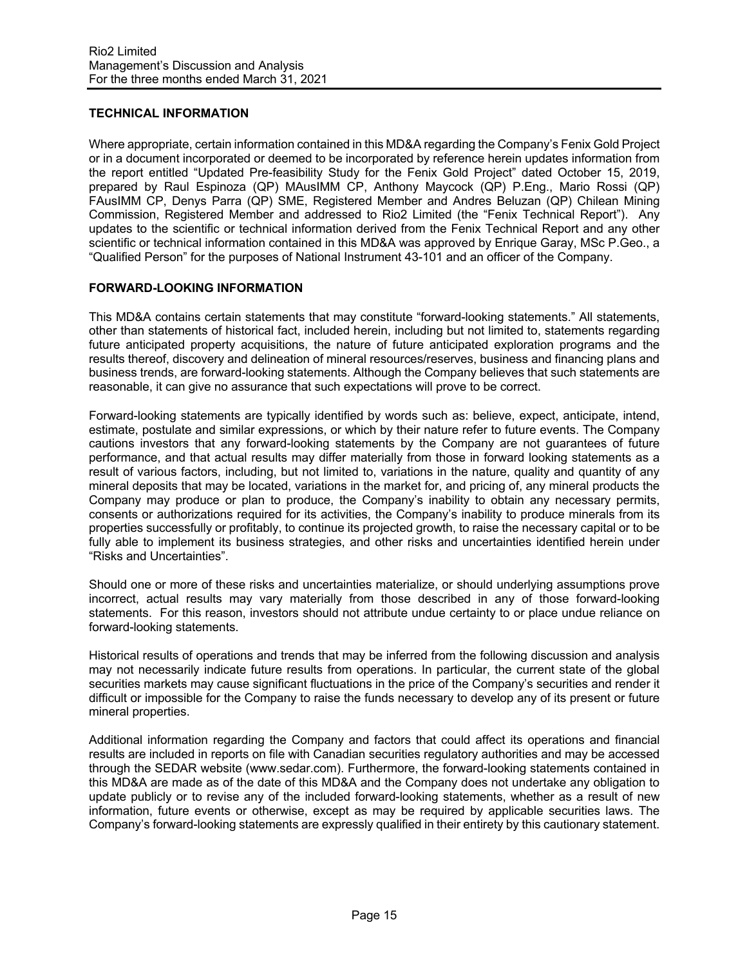# **TECHNICAL INFORMATION**

Where appropriate, certain information contained in this MD&A regarding the Company's Fenix Gold Project or in a document incorporated or deemed to be incorporated by reference herein updates information from the report entitled "Updated Pre-feasibility Study for the Fenix Gold Project" dated October 15, 2019, prepared by Raul Espinoza (QP) MAusIMM CP, Anthony Maycock (QP) P.Eng., Mario Rossi (QP) FAusIMM CP, Denys Parra (QP) SME, Registered Member and Andres Beluzan (QP) Chilean Mining Commission, Registered Member and addressed to Rio2 Limited (the "Fenix Technical Report"). Any updates to the scientific or technical information derived from the Fenix Technical Report and any other scientific or technical information contained in this MD&A was approved by Enrique Garay, MSc P.Geo., a "Qualified Person" for the purposes of National Instrument 43-101 and an officer of the Company.

## **FORWARD-LOOKING INFORMATION**

This MD&A contains certain statements that may constitute "forward-looking statements." All statements, other than statements of historical fact, included herein, including but not limited to, statements regarding future anticipated property acquisitions, the nature of future anticipated exploration programs and the results thereof, discovery and delineation of mineral resources/reserves, business and financing plans and business trends, are forward-looking statements. Although the Company believes that such statements are reasonable, it can give no assurance that such expectations will prove to be correct.

Forward-looking statements are typically identified by words such as: believe, expect, anticipate, intend, estimate, postulate and similar expressions, or which by their nature refer to future events. The Company cautions investors that any forward-looking statements by the Company are not guarantees of future performance, and that actual results may differ materially from those in forward looking statements as a result of various factors, including, but not limited to, variations in the nature, quality and quantity of any mineral deposits that may be located, variations in the market for, and pricing of, any mineral products the Company may produce or plan to produce, the Company's inability to obtain any necessary permits, consents or authorizations required for its activities, the Company's inability to produce minerals from its properties successfully or profitably, to continue its projected growth, to raise the necessary capital or to be fully able to implement its business strategies, and other risks and uncertainties identified herein under "Risks and Uncertainties".

Should one or more of these risks and uncertainties materialize, or should underlying assumptions prove incorrect, actual results may vary materially from those described in any of those forward-looking statements. For this reason, investors should not attribute undue certainty to or place undue reliance on forward-looking statements.

Historical results of operations and trends that may be inferred from the following discussion and analysis may not necessarily indicate future results from operations. In particular, the current state of the global securities markets may cause significant fluctuations in the price of the Company's securities and render it difficult or impossible for the Company to raise the funds necessary to develop any of its present or future mineral properties.

Additional information regarding the Company and factors that could affect its operations and financial results are included in reports on file with Canadian securities regulatory authorities and may be accessed through the SEDAR website (www.sedar.com). Furthermore, the forward-looking statements contained in this MD&A are made as of the date of this MD&A and the Company does not undertake any obligation to update publicly or to revise any of the included forward-looking statements, whether as a result of new information, future events or otherwise, except as may be required by applicable securities laws. The Company's forward-looking statements are expressly qualified in their entirety by this cautionary statement.